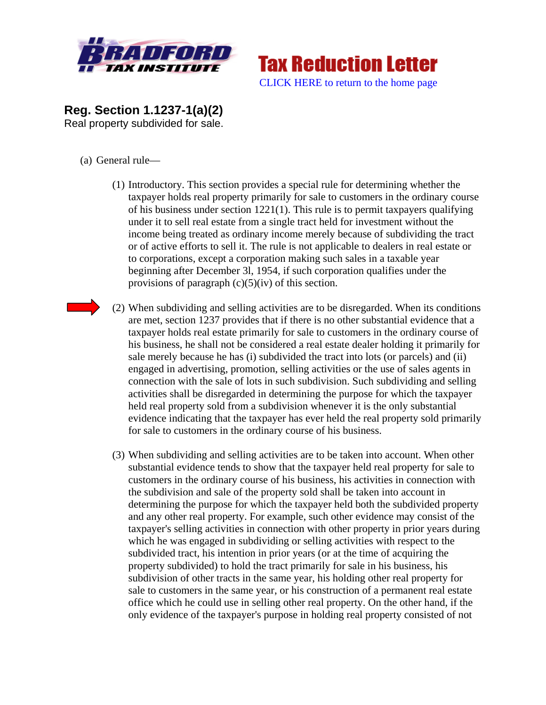



**Reg. Section 1.1237-1(a)(2)**  Real property subdivided for sale.

- (a) General rule—
	- (1) Introductory. This section provides a special rule for determining whether the taxpayer holds real property primarily for sale to customers in the ordinary course of his business under section 1221(1). This rule is to permit taxpayers qualifying under it to sell real estate from a single tract held for investment without the income being treated as ordinary income merely because of subdividing the tract or of active efforts to sell it. The rule is not applicable to dealers in real estate or to corporations, except a corporation making such sales in a taxable year beginning after December 3l, 1954, if such corporation qualifies under the provisions of paragraph  $(c)(5)(iv)$  of this section.
	- (2) When subdividing and selling activities are to be disregarded. When its conditions are met, section 1237 provides that if there is no other substantial evidence that a taxpayer holds real estate primarily for sale to customers in the ordinary course of his business, he shall not be considered a real estate dealer holding it primarily for sale merely because he has (i) subdivided the tract into lots (or parcels) and (ii) engaged in advertising, promotion, selling activities or the use of sales agents in connection with the sale of lots in such subdivision. Such subdividing and selling activities shall be disregarded in determining the purpose for which the taxpayer held real property sold from a subdivision whenever it is the only substantial evidence indicating that the taxpayer has ever held the real property sold primarily for sale to customers in the ordinary course of his business.
	- (3) When subdividing and selling activities are to be taken into account. When other substantial evidence tends to show that the taxpayer held real property for sale to customers in the ordinary course of his business, his activities in connection with the subdivision and sale of the property sold shall be taken into account in determining the purpose for which the taxpayer held both the subdivided property and any other real property. For example, such other evidence may consist of the taxpayer's selling activities in connection with other property in prior years during which he was engaged in subdividing or selling activities with respect to the subdivided tract, his intention in prior years (or at the time of acquiring the property subdivided) to hold the tract primarily for sale in his business, his subdivision of other tracts in the same year, his holding other real property for sale to customers in the same year, or his construction of a permanent real estate office which he could use in selling other real property. On the other hand, if the only evidence of the taxpayer's purpose in holding real property consisted of not